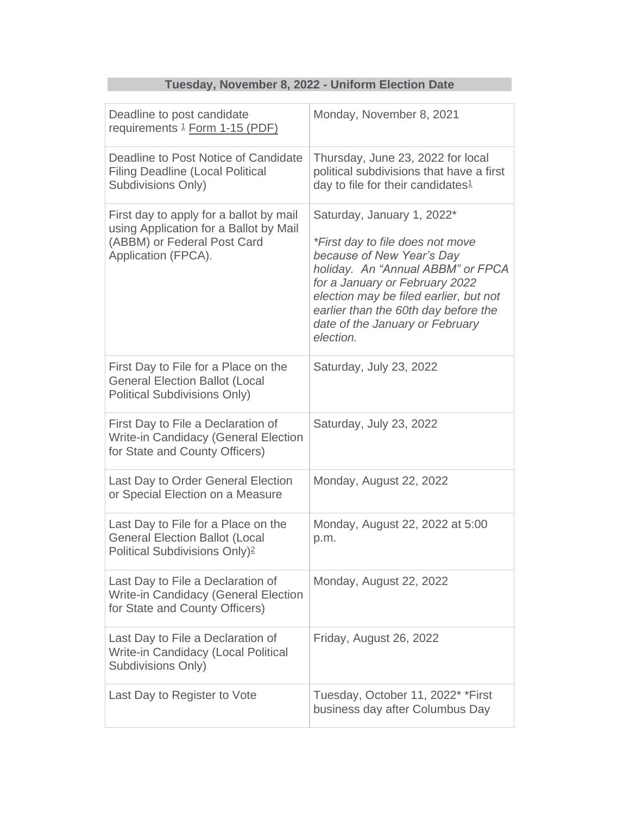|  |  | Tuesday, November 8, 2022 - Uniform Election Date |  |
|--|--|---------------------------------------------------|--|
|  |  |                                                   |  |

| Deadline to post candidate<br>requirements <sup>1</sup> Form 1-15 (PDF)                                                                 | Monday, November 8, 2021                                                                                                                                                                                                                                                                             |  |
|-----------------------------------------------------------------------------------------------------------------------------------------|------------------------------------------------------------------------------------------------------------------------------------------------------------------------------------------------------------------------------------------------------------------------------------------------------|--|
| Deadline to Post Notice of Candidate<br><b>Filing Deadline (Local Political</b><br>Subdivisions Only)                                   | Thursday, June 23, 2022 for local<br>political subdivisions that have a first<br>day to file for their candidates <sup>1</sup>                                                                                                                                                                       |  |
| First day to apply for a ballot by mail<br>using Application for a Ballot by Mail<br>(ABBM) or Federal Post Card<br>Application (FPCA). | Saturday, January 1, 2022*<br>*First day to file does not move<br>because of New Year's Day<br>holiday. An "Annual ABBM" or FPCA<br>for a January or February 2022<br>election may be filed earlier, but not<br>earlier than the 60th day before the<br>date of the January or February<br>election. |  |
| First Day to File for a Place on the<br><b>General Election Ballot (Local</b><br><b>Political Subdivisions Only)</b>                    | Saturday, July 23, 2022                                                                                                                                                                                                                                                                              |  |
| First Day to File a Declaration of<br><b>Write-in Candidacy (General Election</b><br>for State and County Officers)                     | Saturday, July 23, 2022                                                                                                                                                                                                                                                                              |  |
| Last Day to Order General Election<br>or Special Election on a Measure                                                                  | Monday, August 22, 2022                                                                                                                                                                                                                                                                              |  |
| Last Day to File for a Place on the<br><b>General Election Ballot (Local</b><br>Political Subdivisions Only) <sup>2</sup>               | Monday, August 22, 2022 at 5:00<br>p.m.                                                                                                                                                                                                                                                              |  |
| Last Day to File a Declaration of<br><b>Write-in Candidacy (General Election</b><br>for State and County Officers)                      | Monday, August 22, 2022                                                                                                                                                                                                                                                                              |  |
| Last Day to File a Declaration of<br>Write-in Candidacy (Local Political<br>Subdivisions Only)                                          | Friday, August 26, 2022                                                                                                                                                                                                                                                                              |  |
| Last Day to Register to Vote                                                                                                            | Tuesday, October 11, 2022* *First<br>business day after Columbus Day                                                                                                                                                                                                                                 |  |